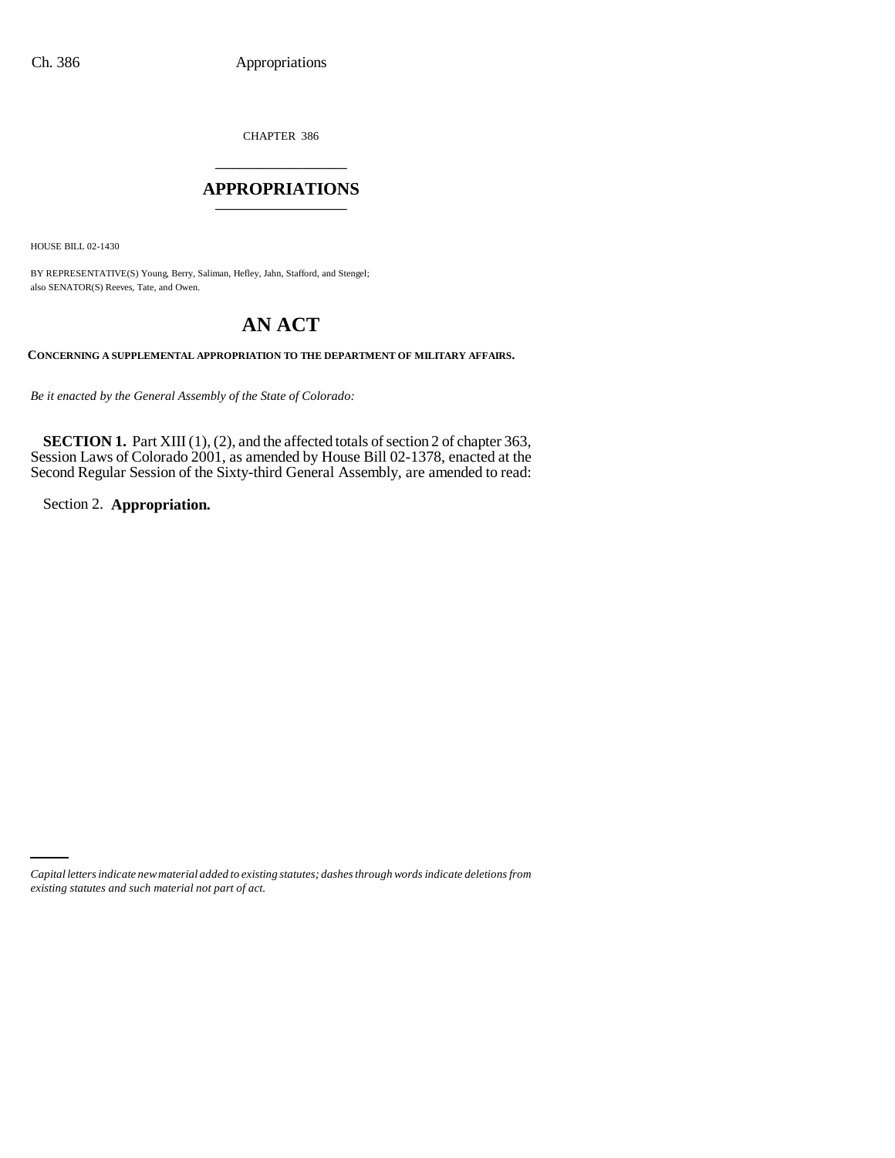CHAPTER 386 \_\_\_\_\_\_\_\_\_\_\_\_\_\_\_

## **APPROPRIATIONS** \_\_\_\_\_\_\_\_\_\_\_\_\_\_\_

HOUSE BILL 02-1430

BY REPRESENTATIVE(S) Young, Berry, Saliman, Hefley, Jahn, Stafford, and Stengel; also SENATOR(S) Reeves, Tate, and Owen.

# **AN ACT**

**CONCERNING A SUPPLEMENTAL APPROPRIATION TO THE DEPARTMENT OF MILITARY AFFAIRS.**

*Be it enacted by the General Assembly of the State of Colorado:*

**SECTION 1.** Part XIII (1), (2), and the affected totals of section 2 of chapter 363, Session Laws of Colorado 2001, as amended by House Bill 02-1378, enacted at the Second Regular Session of the Sixty-third General Assembly, are amended to read:

Section 2. **Appropriation.**

*Capital letters indicate new material added to existing statutes; dashes through words indicate deletions from existing statutes and such material not part of act.*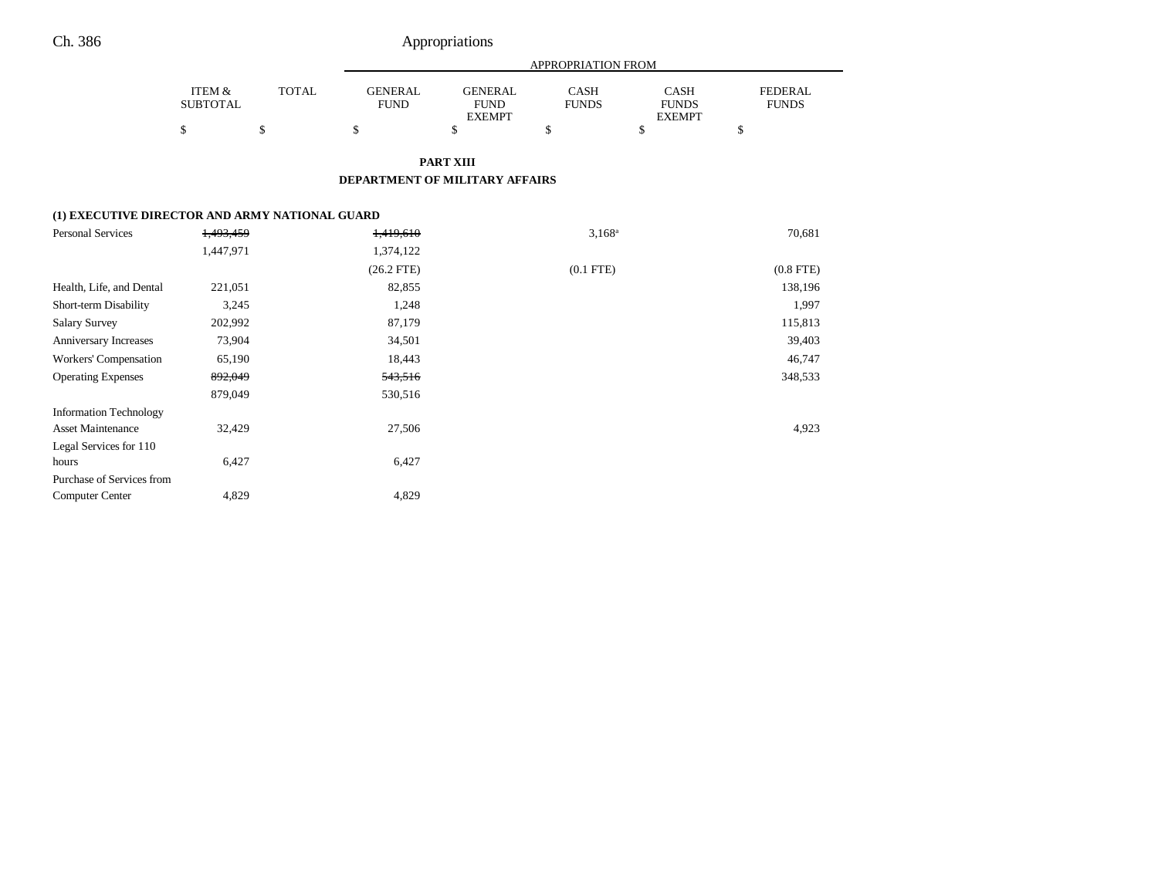## Ch. 386 Appropriations

|                           |              | APPROPRIATION FROM     |                               |                      |                             |                                |
|---------------------------|--------------|------------------------|-------------------------------|----------------------|-----------------------------|--------------------------------|
| ITEM &<br><b>SUBTOTAL</b> | <b>TOTAL</b> | GENERAL<br><b>FUND</b> | <b>GENERAL</b><br><b>FUND</b> | CASH<br><b>FUNDS</b> | <b>CASH</b><br><b>FUNDS</b> | <b>FEDERAL</b><br><b>FUNDS</b> |
|                           |              |                        | <b>EXEMPT</b>                 |                      | <b>EXEMPT</b>               |                                |
|                           |              |                        |                               |                      |                             |                                |

**PART XIII**

#### **DEPARTMENT OF MILITARY AFFAIRS**

## **(1) EXECUTIVE DIRECTOR AND ARMY NATIONAL GUARD**

| Personal Services             | 1,493,459 | 1,419,610    | $3,168^a$      | 70,681         |
|-------------------------------|-----------|--------------|----------------|----------------|
|                               | 1,447,971 | 1,374,122    |                |                |
|                               |           | $(26.2$ FTE) | $(0.1$ FTE $)$ | $(0.8$ FTE $)$ |
| Health, Life, and Dental      | 221,051   | 82,855       |                | 138,196        |
| Short-term Disability         | 3,245     | 1,248        |                | 1,997          |
| <b>Salary Survey</b>          | 202,992   | 87,179       |                | 115,813        |
| Anniversary Increases         | 73,904    | 34,501       |                | 39,403         |
| Workers' Compensation         | 65,190    | 18,443       |                | 46,747         |
| <b>Operating Expenses</b>     | 892,049   | 543,516      |                | 348,533        |
|                               | 879,049   | 530,516      |                |                |
| <b>Information Technology</b> |           |              |                |                |
| <b>Asset Maintenance</b>      | 32,429    | 27,506       |                | 4,923          |
| Legal Services for 110        |           |              |                |                |
| hours                         | 6,427     | 6,427        |                |                |
| Purchase of Services from     |           |              |                |                |
| <b>Computer Center</b>        | 4,829     | 4,829        |                |                |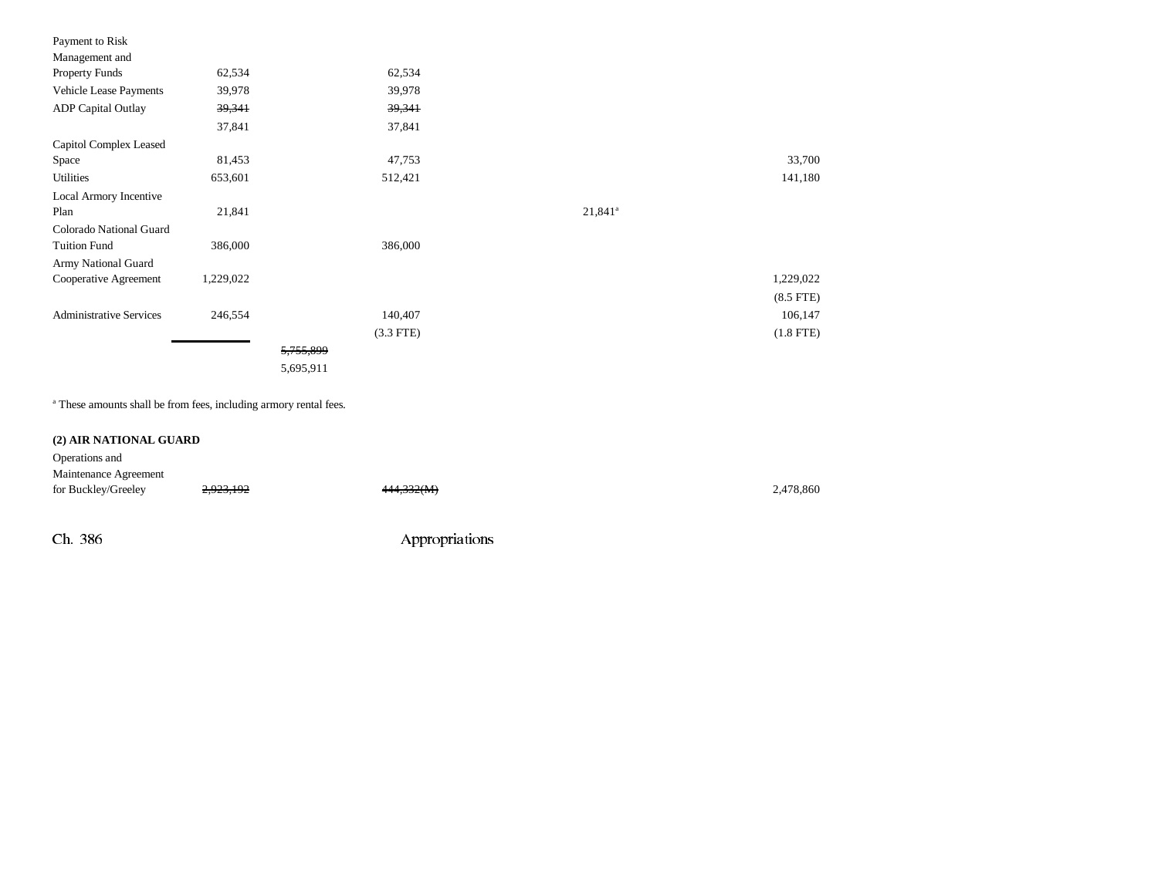| Payment to Risk                |           |             |            |                |
|--------------------------------|-----------|-------------|------------|----------------|
| Management and                 |           |             |            |                |
| <b>Property Funds</b>          | 62,534    | 62,534      |            |                |
| Vehicle Lease Payments         | 39,978    | 39,978      |            |                |
| <b>ADP</b> Capital Outlay      | 39,341    | 39,341      |            |                |
|                                | 37,841    | 37,841      |            |                |
| Capitol Complex Leased         |           |             |            |                |
| Space                          | 81,453    | 47,753      |            | 33,700         |
| <b>Utilities</b>               | 653,601   | 512,421     |            | 141,180        |
| Local Armory Incentive         |           |             |            |                |
| Plan                           | 21,841    |             | $21,841^a$ |                |
| Colorado National Guard        |           |             |            |                |
| <b>Tuition Fund</b>            | 386,000   | 386,000     |            |                |
| Army National Guard            |           |             |            |                |
| Cooperative Agreement          | 1,229,022 |             |            | 1,229,022      |
|                                |           |             |            | $(8.5$ FTE $)$ |
| <b>Administrative Services</b> | 246,554   | 140,407     |            | 106,147        |
|                                |           | $(3.3$ FTE) |            | $(1.8$ FTE)    |
|                                |           | 5,755,899   |            |                |
|                                |           | 5,695,911   |            |                |

a These amounts shall be from fees, including armory rental fees.

## **(2) AIR NATIONAL GUARD**

| Operations and        |           |            |           |
|-----------------------|-----------|------------|-----------|
| Maintenance Agreement |           |            |           |
| for Buckley/Greeley   | 2,923,192 | 444,332(M) | 2,478,860 |
|                       |           |            |           |

Ch. 386 Appropriations